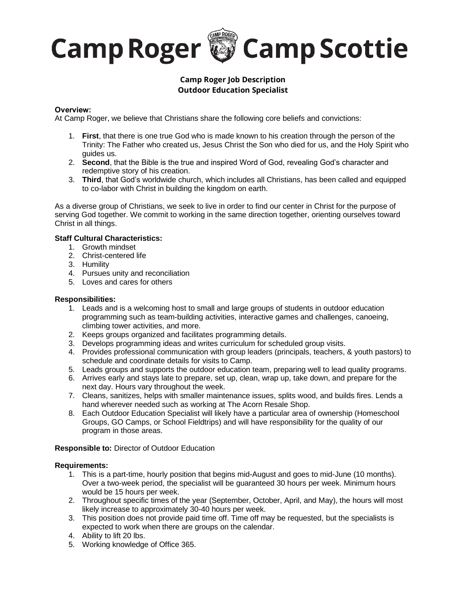

# **Camp Roger Job Description Outdoor Education Specialist**

# **Overview:**

At Camp Roger, we believe that Christians share the following core beliefs and convictions:

- 1. **First**, that there is one true God who is made known to his creation through the person of the Trinity: The Father who created us, Jesus Christ the Son who died for us, and the Holy Spirit who guides us.
- 2. **Second**, that the Bible is the true and inspired Word of God, revealing God's character and redemptive story of his creation.
- 3. **Third**, that God's worldwide church, which includes all Christians, has been called and equipped to co-labor with Christ in building the kingdom on earth.

As a diverse group of Christians, we seek to live in order to find our center in Christ for the purpose of serving God together. We commit to working in the same direction together, orienting ourselves toward Christ in all things.

#### **Staff Cultural Characteristics:**

- 1. Growth mindset
	- 2. Christ-centered life
	- 3. Humility
	- 4. Pursues unity and reconciliation
	- 5. Loves and cares for others

### **Responsibilities:**

- 1. Leads and is a welcoming host to small and large groups of students in outdoor education programming such as team-building activities, interactive games and challenges, canoeing, climbing tower activities, and more.
- 2. Keeps groups organized and facilitates programming details.
- 3. Develops programming ideas and writes curriculum for scheduled group visits.
- 4. Provides professional communication with group leaders (principals, teachers, & youth pastors) to schedule and coordinate details for visits to Camp.
- 5. Leads groups and supports the outdoor education team, preparing well to lead quality programs.
- 6. Arrives early and stays late to prepare, set up, clean, wrap up, take down, and prepare for the next day. Hours vary throughout the week.
- 7. Cleans, sanitizes, helps with smaller maintenance issues, splits wood, and builds fires. Lends a hand wherever needed such as working at The Acorn Resale Shop.
- 8. Each Outdoor Education Specialist will likely have a particular area of ownership (Homeschool Groups, GO Camps, or School Fieldtrips) and will have responsibility for the quality of our program in those areas.

**Responsible to:** Director of Outdoor Education

#### **Requirements:**

- 1. This is a part-time, hourly position that begins mid-August and goes to mid-June (10 months). Over a two-week period, the specialist will be guaranteed 30 hours per week. Minimum hours would be 15 hours per week.
- 2. Throughout specific times of the year (September, October, April, and May), the hours will most likely increase to approximately 30-40 hours per week.
- 3. This position does not provide paid time off. Time off may be requested, but the specialists is expected to work when there are groups on the calendar.
- 4. Ability to lift 20 lbs.
- 5. Working knowledge of Office 365.